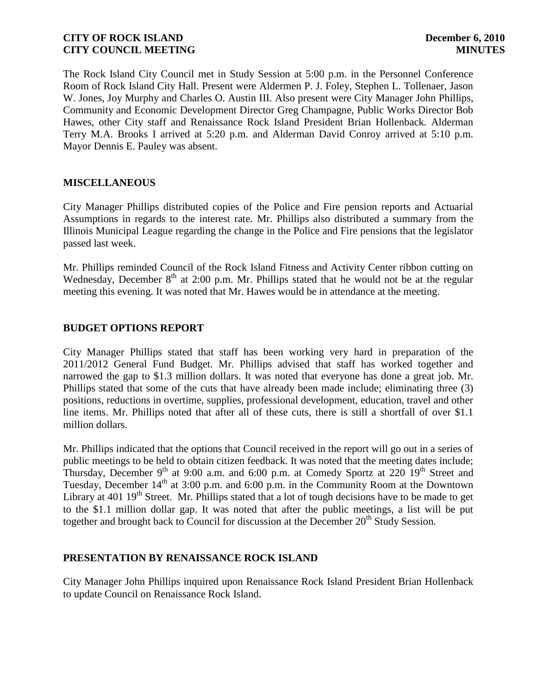The Rock Island City Council met in Study Session at 5:00 p.m. in the Personnel Conference Room of Rock Island City Hall. Present were Aldermen P. J. Foley, Stephen L. Tollenaer, Jason W. Jones, Joy Murphy and Charles O. Austin III. Also present were City Manager John Phillips, Community and Economic Development Director Greg Champagne, Public Works Director Bob Hawes, other City staff and Renaissance Rock Island President Brian Hollenback. Alderman Terry M.A. Brooks I arrived at 5:20 p.m. and Alderman David Conroy arrived at 5:10 p.m. Mayor Dennis E. Pauley was absent.

# **MISCELLANEOUS**

City Manager Phillips distributed copies of the Police and Fire pension reports and Actuarial Assumptions in regards to the interest rate. Mr. Phillips also distributed a summary from the Illinois Municipal League regarding the change in the Police and Fire pensions that the legislator passed last week.

Mr. Phillips reminded Council of the Rock Island Fitness and Activity Center ribbon cutting on Wednesday, December  $8<sup>th</sup>$  at 2:00 p.m. Mr. Phillips stated that he would not be at the regular meeting this evening. It was noted that Mr. Hawes would be in attendance at the meeting.

## **BUDGET OPTIONS REPORT**

City Manager Phillips stated that staff has been working very hard in preparation of the 2011/2012 General Fund Budget. Mr. Phillips advised that staff has worked together and narrowed the gap to \$1.3 million dollars. It was noted that everyone has done a great job. Mr. Phillips stated that some of the cuts that have already been made include; eliminating three (3) positions, reductions in overtime, supplies, professional development, education, travel and other line items. Mr. Phillips noted that after all of these cuts, there is still a shortfall of over \$1.1 million dollars.

Mr. Phillips indicated that the options that Council received in the report will go out in a series of public meetings to be held to obtain citizen feedback. It was noted that the meeting dates include; Thursday, December 9<sup>th</sup> at 9:00 a.m. and 6:00 p.m. at Comedy Sportz at 220  $19<sup>th</sup>$  Street and Tuesday, December  $14<sup>th</sup>$  at 3:00 p.m. and 6:00 p.m. in the Community Room at the Downtown Library at 401 19<sup>th</sup> Street. Mr. Phillips stated that a lot of tough decisions have to be made to get to the \$1.1 million dollar gap. It was noted that after the public meetings, a list will be put together and brought back to Council for discussion at the December  $20<sup>th</sup>$  Study Session.

### **PRESENTATION BY RENAISSANCE ROCK ISLAND**

City Manager John Phillips inquired upon Renaissance Rock Island President Brian Hollenback to update Council on Renaissance Rock Island.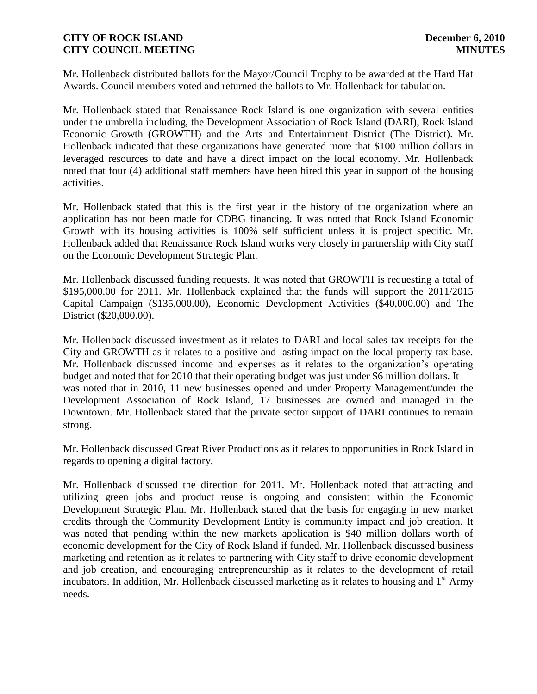Mr. Hollenback distributed ballots for the Mayor/Council Trophy to be awarded at the Hard Hat Awards. Council members voted and returned the ballots to Mr. Hollenback for tabulation.

Mr. Hollenback stated that Renaissance Rock Island is one organization with several entities under the umbrella including, the Development Association of Rock Island (DARI), Rock Island Economic Growth (GROWTH) and the Arts and Entertainment District (The District). Mr. Hollenback indicated that these organizations have generated more that \$100 million dollars in leveraged resources to date and have a direct impact on the local economy. Mr. Hollenback noted that four (4) additional staff members have been hired this year in support of the housing activities.

Mr. Hollenback stated that this is the first year in the history of the organization where an application has not been made for CDBG financing. It was noted that Rock Island Economic Growth with its housing activities is 100% self sufficient unless it is project specific. Mr. Hollenback added that Renaissance Rock Island works very closely in partnership with City staff on the Economic Development Strategic Plan.

Mr. Hollenback discussed funding requests. It was noted that GROWTH is requesting a total of \$195,000.00 for 2011. Mr. Hollenback explained that the funds will support the 2011/2015 Capital Campaign (\$135,000.00), Economic Development Activities (\$40,000.00) and The District (\$20,000.00).

Mr. Hollenback discussed investment as it relates to DARI and local sales tax receipts for the City and GROWTH as it relates to a positive and lasting impact on the local property tax base. Mr. Hollenback discussed income and expenses as it relates to the organization's operating budget and noted that for 2010 that their operating budget was just under \$6 million dollars. It was noted that in 2010, 11 new businesses opened and under Property Management/under the Development Association of Rock Island, 17 businesses are owned and managed in the Downtown. Mr. Hollenback stated that the private sector support of DARI continues to remain strong.

Mr. Hollenback discussed Great River Productions as it relates to opportunities in Rock Island in regards to opening a digital factory.

Mr. Hollenback discussed the direction for 2011. Mr. Hollenback noted that attracting and utilizing green jobs and product reuse is ongoing and consistent within the Economic Development Strategic Plan. Mr. Hollenback stated that the basis for engaging in new market credits through the Community Development Entity is community impact and job creation. It was noted that pending within the new markets application is \$40 million dollars worth of economic development for the City of Rock Island if funded. Mr. Hollenback discussed business marketing and retention as it relates to partnering with City staff to drive economic development and job creation, and encouraging entrepreneurship as it relates to the development of retail incubators. In addition, Mr. Hollenback discussed marketing as it relates to housing and  $1<sup>st</sup>$  Army needs.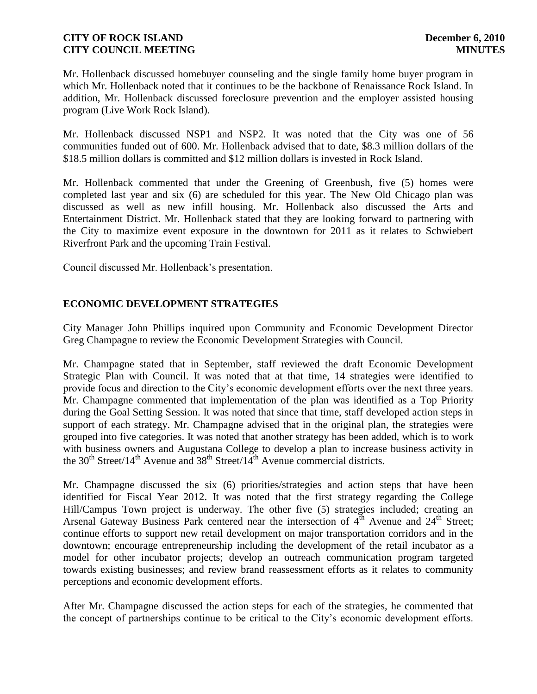Mr. Hollenback discussed homebuyer counseling and the single family home buyer program in which Mr. Hollenback noted that it continues to be the backbone of Renaissance Rock Island. In addition, Mr. Hollenback discussed foreclosure prevention and the employer assisted housing program (Live Work Rock Island).

Mr. Hollenback discussed NSP1 and NSP2. It was noted that the City was one of 56 communities funded out of 600. Mr. Hollenback advised that to date, \$8.3 million dollars of the \$18.5 million dollars is committed and \$12 million dollars is invested in Rock Island.

Mr. Hollenback commented that under the Greening of Greenbush, five (5) homes were completed last year and six (6) are scheduled for this year. The New Old Chicago plan was discussed as well as new infill housing. Mr. Hollenback also discussed the Arts and Entertainment District. Mr. Hollenback stated that they are looking forward to partnering with the City to maximize event exposure in the downtown for 2011 as it relates to Schwiebert Riverfront Park and the upcoming Train Festival.

Council discussed Mr. Hollenback's presentation.

# **ECONOMIC DEVELOPMENT STRATEGIES**

City Manager John Phillips inquired upon Community and Economic Development Director Greg Champagne to review the Economic Development Strategies with Council.

Mr. Champagne stated that in September, staff reviewed the draft Economic Development Strategic Plan with Council. It was noted that at that time, 14 strategies were identified to provide focus and direction to the City's economic development efforts over the next three years. Mr. Champagne commented that implementation of the plan was identified as a Top Priority during the Goal Setting Session. It was noted that since that time, staff developed action steps in support of each strategy. Mr. Champagne advised that in the original plan, the strategies were grouped into five categories. It was noted that another strategy has been added, which is to work with business owners and Augustana College to develop a plan to increase business activity in the 30<sup>th</sup> Street/14<sup>th</sup> Avenue and 38<sup>th</sup> Street/14<sup>th</sup> Avenue commercial districts.

Mr. Champagne discussed the six (6) priorities/strategies and action steps that have been identified for Fiscal Year 2012. It was noted that the first strategy regarding the College Hill/Campus Town project is underway. The other five (5) strategies included; creating an Arsenal Gateway Business Park centered near the intersection of 4<sup>th</sup> Avenue and 24<sup>th</sup> Street; continue efforts to support new retail development on major transportation corridors and in the downtown; encourage entrepreneurship including the development of the retail incubator as a model for other incubator projects; develop an outreach communication program targeted towards existing businesses; and review brand reassessment efforts as it relates to community perceptions and economic development efforts.

After Mr. Champagne discussed the action steps for each of the strategies, he commented that the concept of partnerships continue to be critical to the City's economic development efforts.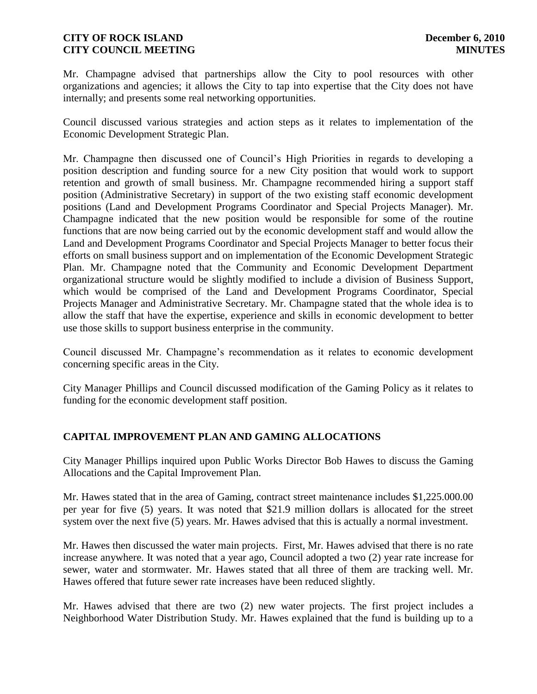Mr. Champagne advised that partnerships allow the City to pool resources with other organizations and agencies; it allows the City to tap into expertise that the City does not have internally; and presents some real networking opportunities.

Council discussed various strategies and action steps as it relates to implementation of the Economic Development Strategic Plan.

Mr. Champagne then discussed one of Council's High Priorities in regards to developing a position description and funding source for a new City position that would work to support retention and growth of small business. Mr. Champagne recommended hiring a support staff position (Administrative Secretary) in support of the two existing staff economic development positions (Land and Development Programs Coordinator and Special Projects Manager). Mr. Champagne indicated that the new position would be responsible for some of the routine functions that are now being carried out by the economic development staff and would allow the Land and Development Programs Coordinator and Special Projects Manager to better focus their efforts on small business support and on implementation of the Economic Development Strategic Plan. Mr. Champagne noted that the Community and Economic Development Department organizational structure would be slightly modified to include a division of Business Support, which would be comprised of the Land and Development Programs Coordinator, Special Projects Manager and Administrative Secretary. Mr. Champagne stated that the whole idea is to allow the staff that have the expertise, experience and skills in economic development to better use those skills to support business enterprise in the community.

Council discussed Mr. Champagne's recommendation as it relates to economic development concerning specific areas in the City.

City Manager Phillips and Council discussed modification of the Gaming Policy as it relates to funding for the economic development staff position.

# **CAPITAL IMPROVEMENT PLAN AND GAMING ALLOCATIONS**

City Manager Phillips inquired upon Public Works Director Bob Hawes to discuss the Gaming Allocations and the Capital Improvement Plan.

Mr. Hawes stated that in the area of Gaming, contract street maintenance includes \$1,225.000.00 per year for five (5) years. It was noted that \$21.9 million dollars is allocated for the street system over the next five (5) years. Mr. Hawes advised that this is actually a normal investment.

Mr. Hawes then discussed the water main projects. First, Mr. Hawes advised that there is no rate increase anywhere. It was noted that a year ago, Council adopted a two (2) year rate increase for sewer, water and stormwater. Mr. Hawes stated that all three of them are tracking well. Mr. Hawes offered that future sewer rate increases have been reduced slightly.

Mr. Hawes advised that there are two (2) new water projects. The first project includes a Neighborhood Water Distribution Study. Mr. Hawes explained that the fund is building up to a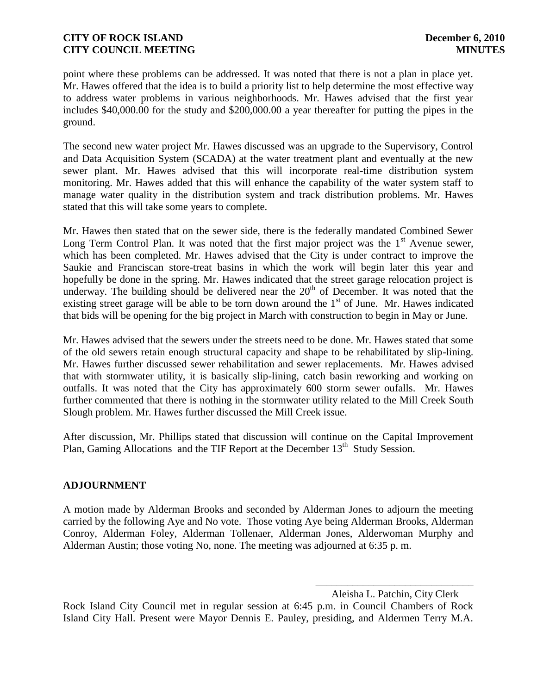point where these problems can be addressed. It was noted that there is not a plan in place yet. Mr. Hawes offered that the idea is to build a priority list to help determine the most effective way to address water problems in various neighborhoods. Mr. Hawes advised that the first year includes \$40,000.00 for the study and \$200,000.00 a year thereafter for putting the pipes in the ground.

The second new water project Mr. Hawes discussed was an upgrade to the Supervisory, Control and Data Acquisition System (SCADA) at the water treatment plant and eventually at the new sewer plant. Mr. Hawes advised that this will incorporate real-time distribution system monitoring. Mr. Hawes added that this will enhance the capability of the water system staff to manage water quality in the distribution system and track distribution problems. Mr. Hawes stated that this will take some years to complete.

Mr. Hawes then stated that on the sewer side, there is the federally mandated Combined Sewer Long Term Control Plan. It was noted that the first major project was the  $1<sup>st</sup>$  Avenue sewer, which has been completed. Mr. Hawes advised that the City is under contract to improve the Saukie and Franciscan store-treat basins in which the work will begin later this year and hopefully be done in the spring. Mr. Hawes indicated that the street garage relocation project is underway. The building should be delivered near the  $20<sup>th</sup>$  of December. It was noted that the existing street garage will be able to be torn down around the  $1<sup>st</sup>$  of June. Mr. Hawes indicated that bids will be opening for the big project in March with construction to begin in May or June.

Mr. Hawes advised that the sewers under the streets need to be done. Mr. Hawes stated that some of the old sewers retain enough structural capacity and shape to be rehabilitated by slip-lining. Mr. Hawes further discussed sewer rehabilitation and sewer replacements. Mr. Hawes advised that with stormwater utility, it is basically slip-lining, catch basin reworking and working on outfalls. It was noted that the City has approximately 600 storm sewer oufalls. Mr. Hawes further commented that there is nothing in the stormwater utility related to the Mill Creek South Slough problem. Mr. Hawes further discussed the Mill Creek issue.

After discussion, Mr. Phillips stated that discussion will continue on the Capital Improvement Plan, Gaming Allocations and the TIF Report at the December 13<sup>th</sup> Study Session.

# **ADJOURNMENT**

A motion made by Alderman Brooks and seconded by Alderman Jones to adjourn the meeting carried by the following Aye and No vote. Those voting Aye being Alderman Brooks, Alderman Conroy, Alderman Foley, Alderman Tollenaer, Alderman Jones, Alderwoman Murphy and Alderman Austin; those voting No, none. The meeting was adjourned at 6:35 p. m.

> \_\_\_\_\_\_\_\_\_\_\_\_\_\_\_\_\_\_\_\_\_\_\_\_\_\_\_\_\_\_ Aleisha L. Patchin, City Clerk

Rock Island City Council met in regular session at 6:45 p.m. in Council Chambers of Rock Island City Hall. Present were Mayor Dennis E. Pauley, presiding, and Aldermen Terry M.A.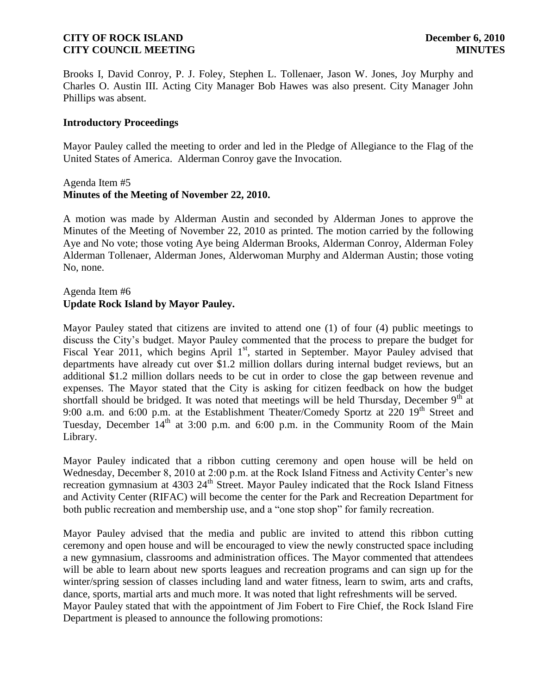Brooks I, David Conroy, P. J. Foley, Stephen L. Tollenaer, Jason W. Jones, Joy Murphy and Charles O. Austin III. Acting City Manager Bob Hawes was also present. City Manager John Phillips was absent.

#### **Introductory Proceedings**

Mayor Pauley called the meeting to order and led in the Pledge of Allegiance to the Flag of the United States of America. Alderman Conroy gave the Invocation.

#### Agenda Item #5 **Minutes of the Meeting of November 22, 2010.**

A motion was made by Alderman Austin and seconded by Alderman Jones to approve the Minutes of the Meeting of November 22, 2010 as printed. The motion carried by the following Aye and No vote; those voting Aye being Alderman Brooks, Alderman Conroy, Alderman Foley Alderman Tollenaer, Alderman Jones, Alderwoman Murphy and Alderman Austin; those voting No, none.

## Agenda Item #6 **Update Rock Island by Mayor Pauley.**

Mayor Pauley stated that citizens are invited to attend one (1) of four (4) public meetings to discuss the City's budget. Mayor Pauley commented that the process to prepare the budget for Fiscal Year 2011, which begins April 1<sup>st</sup>, started in September. Mayor Pauley advised that departments have already cut over \$1.2 million dollars during internal budget reviews, but an additional \$1.2 million dollars needs to be cut in order to close the gap between revenue and expenses. The Mayor stated that the City is asking for citizen feedback on how the budget shortfall should be bridged. It was noted that meetings will be held Thursday, December  $9<sup>th</sup>$  at 9:00 a.m. and 6:00 p.m. at the Establishment Theater/Comedy Sportz at  $220$  19<sup>th</sup> Street and Tuesday, December  $14<sup>th</sup>$  at 3:00 p.m. and 6:00 p.m. in the Community Room of the Main Library.

Mayor Pauley indicated that a ribbon cutting ceremony and open house will be held on Wednesday, December 8, 2010 at 2:00 p.m. at the Rock Island Fitness and Activity Center's new recreation gymnasium at 4303 24<sup>th</sup> Street. Mayor Pauley indicated that the Rock Island Fitness and Activity Center (RIFAC) will become the center for the Park and Recreation Department for both public recreation and membership use, and a "one stop shop" for family recreation.

Mayor Pauley advised that the media and public are invited to attend this ribbon cutting ceremony and open house and will be encouraged to view the newly constructed space including a new gymnasium, classrooms and administration offices. The Mayor commented that attendees will be able to learn about new sports leagues and recreation programs and can sign up for the winter/spring session of classes including land and water fitness, learn to swim, arts and crafts, dance, sports, martial arts and much more. It was noted that light refreshments will be served. Mayor Pauley stated that with the appointment of Jim Fobert to Fire Chief, the Rock Island Fire Department is pleased to announce the following promotions: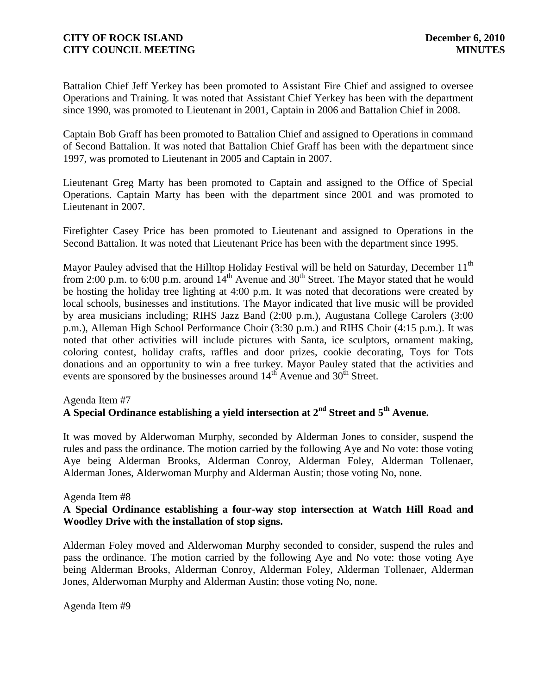Battalion Chief Jeff Yerkey has been promoted to Assistant Fire Chief and assigned to oversee Operations and Training. It was noted that Assistant Chief Yerkey has been with the department since 1990, was promoted to Lieutenant in 2001, Captain in 2006 and Battalion Chief in 2008.

Captain Bob Graff has been promoted to Battalion Chief and assigned to Operations in command of Second Battalion. It was noted that Battalion Chief Graff has been with the department since 1997, was promoted to Lieutenant in 2005 and Captain in 2007.

Lieutenant Greg Marty has been promoted to Captain and assigned to the Office of Special Operations. Captain Marty has been with the department since 2001 and was promoted to Lieutenant in 2007.

Firefighter Casey Price has been promoted to Lieutenant and assigned to Operations in the Second Battalion. It was noted that Lieutenant Price has been with the department since 1995.

Mayor Pauley advised that the Hilltop Holiday Festival will be held on Saturday, December 11<sup>th</sup> from 2:00 p.m. to 6:00 p.m. around  $14<sup>th</sup>$  Avenue and  $30<sup>th</sup>$  Street. The Mayor stated that he would be hosting the holiday tree lighting at 4:00 p.m. It was noted that decorations were created by local schools, businesses and institutions. The Mayor indicated that live music will be provided by area musicians including; RIHS Jazz Band (2:00 p.m.), Augustana College Carolers (3:00 p.m.), Alleman High School Performance Choir (3:30 p.m.) and RIHS Choir (4:15 p.m.). It was noted that other activities will include pictures with Santa, ice sculptors, ornament making, coloring contest, holiday crafts, raffles and door prizes, cookie decorating, Toys for Tots donations and an opportunity to win a free turkey. Mayor Pauley stated that the activities and events are sponsored by the businesses around  $14<sup>th</sup>$  Avenue and  $30<sup>th</sup>$  Street.

# Agenda Item #7 **A Special Ordinance establishing a yield intersection at 2nd Street and 5th Avenue.**

It was moved by Alderwoman Murphy, seconded by Alderman Jones to consider, suspend the rules and pass the ordinance. The motion carried by the following Aye and No vote: those voting Aye being Alderman Brooks, Alderman Conroy, Alderman Foley, Alderman Tollenaer, Alderman Jones, Alderwoman Murphy and Alderman Austin; those voting No, none.

### Agenda Item #8

# **A Special Ordinance establishing a four-way stop intersection at Watch Hill Road and Woodley Drive with the installation of stop signs.**

Alderman Foley moved and Alderwoman Murphy seconded to consider, suspend the rules and pass the ordinance. The motion carried by the following Aye and No vote: those voting Aye being Alderman Brooks, Alderman Conroy, Alderman Foley, Alderman Tollenaer, Alderman Jones, Alderwoman Murphy and Alderman Austin; those voting No, none.

Agenda Item #9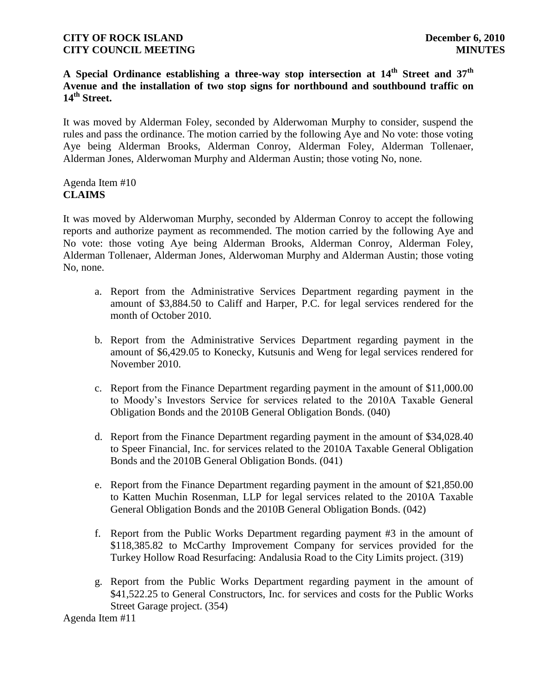# **A Special Ordinance establishing a three-way stop intersection at 14th Street and 37th Avenue and the installation of two stop signs for northbound and southbound traffic on 14th Street.**

It was moved by Alderman Foley, seconded by Alderwoman Murphy to consider, suspend the rules and pass the ordinance. The motion carried by the following Aye and No vote: those voting Aye being Alderman Brooks, Alderman Conroy, Alderman Foley, Alderman Tollenaer, Alderman Jones, Alderwoman Murphy and Alderman Austin; those voting No, none.

## Agenda Item #10 **CLAIMS**

It was moved by Alderwoman Murphy, seconded by Alderman Conroy to accept the following reports and authorize payment as recommended. The motion carried by the following Aye and No vote: those voting Aye being Alderman Brooks, Alderman Conroy, Alderman Foley, Alderman Tollenaer, Alderman Jones, Alderwoman Murphy and Alderman Austin; those voting No, none.

- a. Report from the Administrative Services Department regarding payment in the amount of \$3,884.50 to Califf and Harper, P.C. for legal services rendered for the month of October 2010.
- b. Report from the Administrative Services Department regarding payment in the amount of \$6,429.05 to Konecky, Kutsunis and Weng for legal services rendered for November 2010.
- c. Report from the Finance Department regarding payment in the amount of \$11,000.00 to Moody's Investors Service for services related to the 2010A Taxable General Obligation Bonds and the 2010B General Obligation Bonds. (040)
- d. Report from the Finance Department regarding payment in the amount of \$34,028.40 to Speer Financial, Inc. for services related to the 2010A Taxable General Obligation Bonds and the 2010B General Obligation Bonds. (041)
- e. Report from the Finance Department regarding payment in the amount of \$21,850.00 to Katten Muchin Rosenman, LLP for legal services related to the 2010A Taxable General Obligation Bonds and the 2010B General Obligation Bonds. (042)
- f. Report from the Public Works Department regarding payment #3 in the amount of \$118,385.82 to McCarthy Improvement Company for services provided for the Turkey Hollow Road Resurfacing: Andalusia Road to the City Limits project. (319)
- g. Report from the Public Works Department regarding payment in the amount of \$41,522.25 to General Constructors, Inc. for services and costs for the Public Works Street Garage project. (354)

Agenda Item #11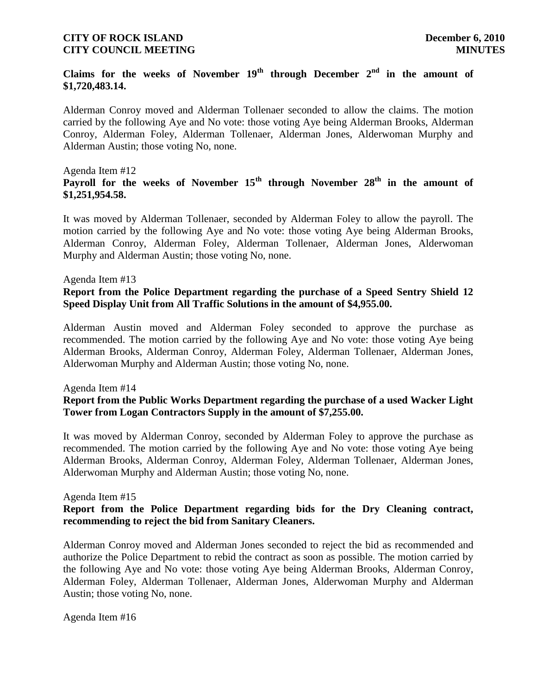# Claims for the weeks of November  $19<sup>th</sup>$  through December  $2<sup>nd</sup>$  in the amount of **\$1,720,483.14.**

Alderman Conroy moved and Alderman Tollenaer seconded to allow the claims. The motion carried by the following Aye and No vote: those voting Aye being Alderman Brooks, Alderman Conroy, Alderman Foley, Alderman Tollenaer, Alderman Jones, Alderwoman Murphy and Alderman Austin; those voting No, none.

#### Agenda Item #12

# **Payroll for the weeks of November 15th through November 28th in the amount of \$1,251,954.58.**

It was moved by Alderman Tollenaer, seconded by Alderman Foley to allow the payroll. The motion carried by the following Aye and No vote: those voting Aye being Alderman Brooks, Alderman Conroy, Alderman Foley, Alderman Tollenaer, Alderman Jones, Alderwoman Murphy and Alderman Austin; those voting No, none.

#### Agenda Item #13

## **Report from the Police Department regarding the purchase of a Speed Sentry Shield 12 Speed Display Unit from All Traffic Solutions in the amount of \$4,955.00.**

Alderman Austin moved and Alderman Foley seconded to approve the purchase as recommended. The motion carried by the following Aye and No vote: those voting Aye being Alderman Brooks, Alderman Conroy, Alderman Foley, Alderman Tollenaer, Alderman Jones, Alderwoman Murphy and Alderman Austin; those voting No, none.

#### Agenda Item #14

## **Report from the Public Works Department regarding the purchase of a used Wacker Light Tower from Logan Contractors Supply in the amount of \$7,255.00.**

It was moved by Alderman Conroy, seconded by Alderman Foley to approve the purchase as recommended. The motion carried by the following Aye and No vote: those voting Aye being Alderman Brooks, Alderman Conroy, Alderman Foley, Alderman Tollenaer, Alderman Jones, Alderwoman Murphy and Alderman Austin; those voting No, none.

#### Agenda Item #15

### **Report from the Police Department regarding bids for the Dry Cleaning contract, recommending to reject the bid from Sanitary Cleaners.**

Alderman Conroy moved and Alderman Jones seconded to reject the bid as recommended and authorize the Police Department to rebid the contract as soon as possible. The motion carried by the following Aye and No vote: those voting Aye being Alderman Brooks, Alderman Conroy, Alderman Foley, Alderman Tollenaer, Alderman Jones, Alderwoman Murphy and Alderman Austin; those voting No, none.

Agenda Item #16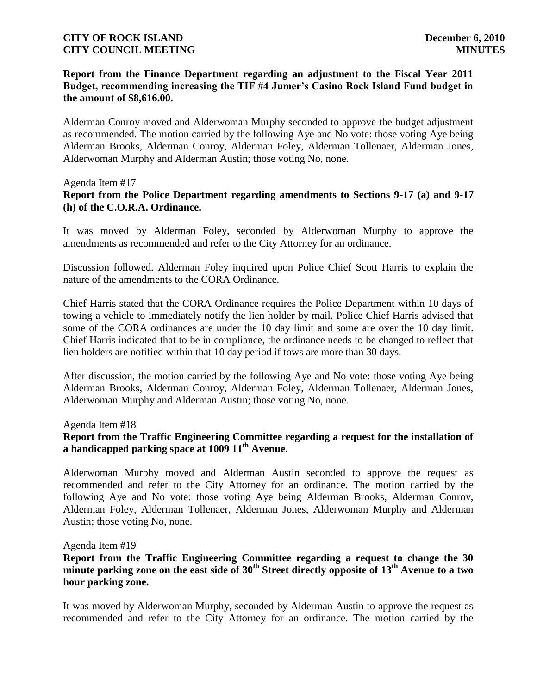# **Report from the Finance Department regarding an adjustment to the Fiscal Year 2011 Budget, recommending increasing the TIF #4 Jumer's Casino Rock Island Fund budget in the amount of \$8,616.00.**

Alderman Conroy moved and Alderwoman Murphy seconded to approve the budget adjustment as recommended. The motion carried by the following Aye and No vote: those voting Aye being Alderman Brooks, Alderman Conroy, Alderman Foley, Alderman Tollenaer, Alderman Jones, Alderwoman Murphy and Alderman Austin; those voting No, none.

#### Agenda Item #17

## **Report from the Police Department regarding amendments to Sections 9-17 (a) and 9-17 (h) of the C.O.R.A. Ordinance.**

It was moved by Alderman Foley, seconded by Alderwoman Murphy to approve the amendments as recommended and refer to the City Attorney for an ordinance.

Discussion followed. Alderman Foley inquired upon Police Chief Scott Harris to explain the nature of the amendments to the CORA Ordinance.

Chief Harris stated that the CORA Ordinance requires the Police Department within 10 days of towing a vehicle to immediately notify the lien holder by mail. Police Chief Harris advised that some of the CORA ordinances are under the 10 day limit and some are over the 10 day limit. Chief Harris indicated that to be in compliance, the ordinance needs to be changed to reflect that lien holders are notified within that 10 day period if tows are more than 30 days.

After discussion, the motion carried by the following Aye and No vote: those voting Aye being Alderman Brooks, Alderman Conroy, Alderman Foley, Alderman Tollenaer, Alderman Jones, Alderwoman Murphy and Alderman Austin; those voting No, none.

#### Agenda Item #18

## **Report from the Traffic Engineering Committee regarding a request for the installation of a handicapped parking space at 1009 11th Avenue.**

Alderwoman Murphy moved and Alderman Austin seconded to approve the request as recommended and refer to the City Attorney for an ordinance. The motion carried by the following Aye and No vote: those voting Aye being Alderman Brooks, Alderman Conroy, Alderman Foley, Alderman Tollenaer, Alderman Jones, Alderwoman Murphy and Alderman Austin; those voting No, none.

#### Agenda Item #19

**Report from the Traffic Engineering Committee regarding a request to change the 30 minute parking zone on the east side of 30th Street directly opposite of 13th Avenue to a two hour parking zone.**

It was moved by Alderwoman Murphy, seconded by Alderman Austin to approve the request as recommended and refer to the City Attorney for an ordinance. The motion carried by the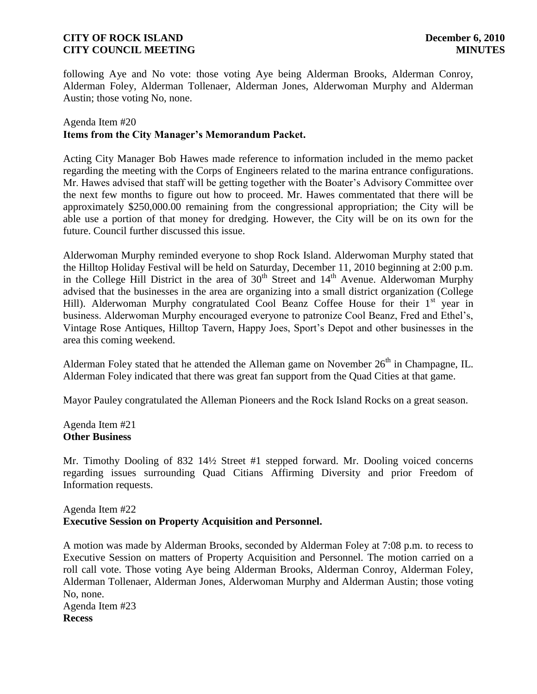following Aye and No vote: those voting Aye being Alderman Brooks, Alderman Conroy, Alderman Foley, Alderman Tollenaer, Alderman Jones, Alderwoman Murphy and Alderman Austin; those voting No, none.

## Agenda Item #20 **Items from the City Manager's Memorandum Packet.**

Acting City Manager Bob Hawes made reference to information included in the memo packet regarding the meeting with the Corps of Engineers related to the marina entrance configurations. Mr. Hawes advised that staff will be getting together with the Boater's Advisory Committee over the next few months to figure out how to proceed. Mr. Hawes commentated that there will be approximately \$250,000.00 remaining from the congressional appropriation; the City will be able use a portion of that money for dredging. However, the City will be on its own for the future. Council further discussed this issue.

Alderwoman Murphy reminded everyone to shop Rock Island. Alderwoman Murphy stated that the Hilltop Holiday Festival will be held on Saturday, December 11, 2010 beginning at 2:00 p.m. in the College Hill District in the area of  $30<sup>th</sup>$  Street and  $14<sup>th</sup>$  Avenue. Alderwoman Murphy advised that the businesses in the area are organizing into a small district organization (College Hill). Alderwoman Murphy congratulated Cool Beanz Coffee House for their  $1<sup>st</sup>$  year in business. Alderwoman Murphy encouraged everyone to patronize Cool Beanz, Fred and Ethel's, Vintage Rose Antiques, Hilltop Tavern, Happy Joes, Sport's Depot and other businesses in the area this coming weekend.

Alderman Foley stated that he attended the Alleman game on November  $26<sup>th</sup>$  in Champagne, IL. Alderman Foley indicated that there was great fan support from the Quad Cities at that game.

Mayor Pauley congratulated the Alleman Pioneers and the Rock Island Rocks on a great season.

#### Agenda Item #21 **Other Business**

Mr. Timothy Dooling of 832 14½ Street #1 stepped forward. Mr. Dooling voiced concerns regarding issues surrounding Quad Citians Affirming Diversity and prior Freedom of Information requests.

# Agenda Item #22 **Executive Session on Property Acquisition and Personnel.**

A motion was made by Alderman Brooks, seconded by Alderman Foley at 7:08 p.m. to recess to Executive Session on matters of Property Acquisition and Personnel. The motion carried on a roll call vote. Those voting Aye being Alderman Brooks, Alderman Conroy, Alderman Foley, Alderman Tollenaer, Alderman Jones, Alderwoman Murphy and Alderman Austin; those voting No, none. Agenda Item #23

**Recess**